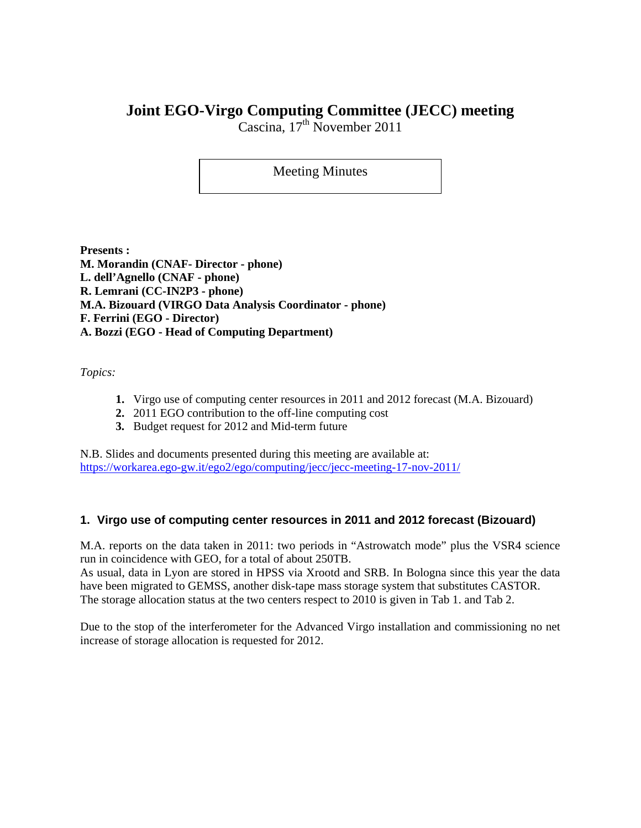# **Joint EGO-Virgo Computing Committee (JECC) meeting**

Cascina,  $17<sup>th</sup>$  November 2011

## Meeting Minutes

**Presents : M. Morandin (CNAF- Director - phone) L. dell'Agnello (CNAF - phone) R. Lemrani (CC-IN2P3 - phone) M.A. Bizouard (VIRGO Data Analysis Coordinator - phone) F. Ferrini (EGO - Director) A. Bozzi (EGO - Head of Computing Department)** 

*Topics:* 

- **1.** Virgo use of computing center resources in 2011 and 2012 forecast (M.A. Bizouard)
- **2.** 2011 EGO contribution to the off-line computing cost
- **3.** Budget request for 2012 and Mid-term future

N.B. Slides and documents presented during this meeting are available at: https://workarea.ego-gw.it/ego2/ego/computing/jecc/jecc-meeting-17-nov-2011/

## **1. Virgo use of computing center resources in 2011 and 2012 forecast (Bizouard)**

M.A. reports on the data taken in 2011: two periods in "Astrowatch mode" plus the VSR4 science run in coincidence with GEO, for a total of about 250TB.

As usual, data in Lyon are stored in HPSS via Xrootd and SRB. In Bologna since this year the data have been migrated to GEMSS, another disk-tape mass storage system that substitutes CASTOR. The storage allocation status at the two centers respect to 2010 is given in Tab 1. and Tab 2.

Due to the stop of the interferometer for the Advanced Virgo installation and commissioning no net increase of storage allocation is requested for 2012.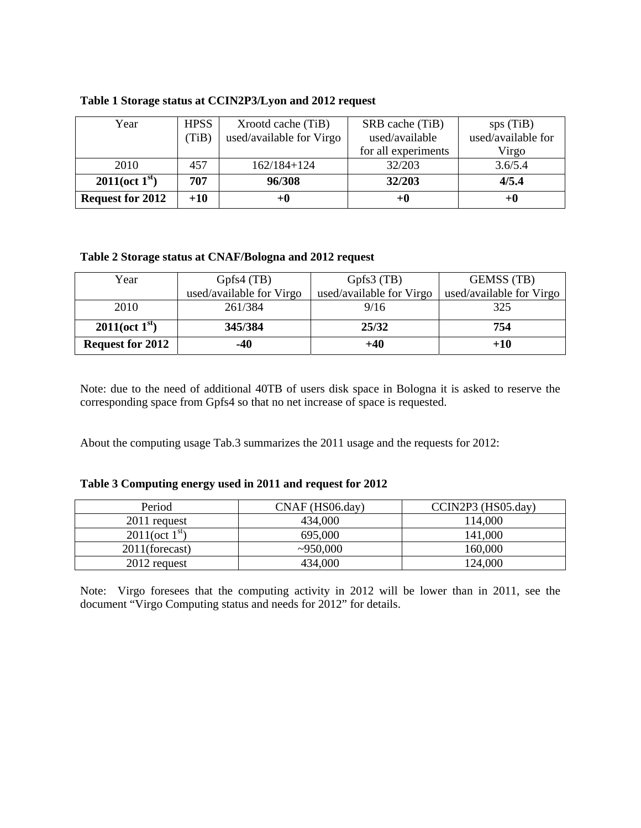| Year                              | <b>HPSS</b> | Xrootd cache (TiB)       | SRB cache (TiB)     | sps(TiB)<br>used/available for |  |  |
|-----------------------------------|-------------|--------------------------|---------------------|--------------------------------|--|--|
|                                   | (TiB)       | used/available for Virgo | used/available      |                                |  |  |
|                                   |             |                          | for all experiments | Virgo                          |  |  |
| 2010                              | 457         | $162/184+124$            | 32/203              | 3.6/5.4                        |  |  |
| $2011(\text{oct } 1^{\text{st}})$ | 707         | 96/308                   | 32/203              | 4/5.4                          |  |  |
| <b>Request for 2012</b>           | $+10$       | +0                       | +0                  | $+0$                           |  |  |

#### **Table 1 Storage status at CCIN2P3/Lyon and 2012 request**

#### **Table 2 Storage status at CNAF/Bologna and 2012 request**

| Year                              | Gpfs4(TB)                | Gpfs $3$ (TB)            | <b>GEMSS</b> (TB)        |  |  |
|-----------------------------------|--------------------------|--------------------------|--------------------------|--|--|
|                                   | used/available for Virgo | used/available for Virgo | used/available for Virgo |  |  |
| 2010                              | 261/384                  | 9/16                     | 325                      |  |  |
| $2011(\text{oct } 1^{\text{st}})$ | 345/384                  | 25/32                    | 754                      |  |  |
| <b>Request for 2012</b>           | -40                      | $+40$                    | $+10$                    |  |  |

Note: due to the need of additional 40TB of users disk space in Bologna it is asked to reserve the corresponding space from Gpfs4 so that no net increase of space is requested.

About the computing usage Tab.3 summarizes the 2011 usage and the requests for 2012:

#### **Table 3 Computing energy used in 2011 and request for 2012**

| Period                            | $CNAF$ (HS06.day) | CCIN2P3 (HS05.day) |  |  |  |
|-----------------------------------|-------------------|--------------------|--|--|--|
| 2011 request                      | 434,000           | 114,000            |  |  |  |
| $2011(\text{oct } 1^{\text{st}})$ | 695,000           | 141,000            |  |  |  |
| $2011$ (forecast)                 | ~2950,000         | 160,000            |  |  |  |
| 2012 request                      | 434,000           | 124,000            |  |  |  |

Note: Virgo foresees that the computing activity in 2012 will be lower than in 2011, see the document "Virgo Computing status and needs for 2012" for details.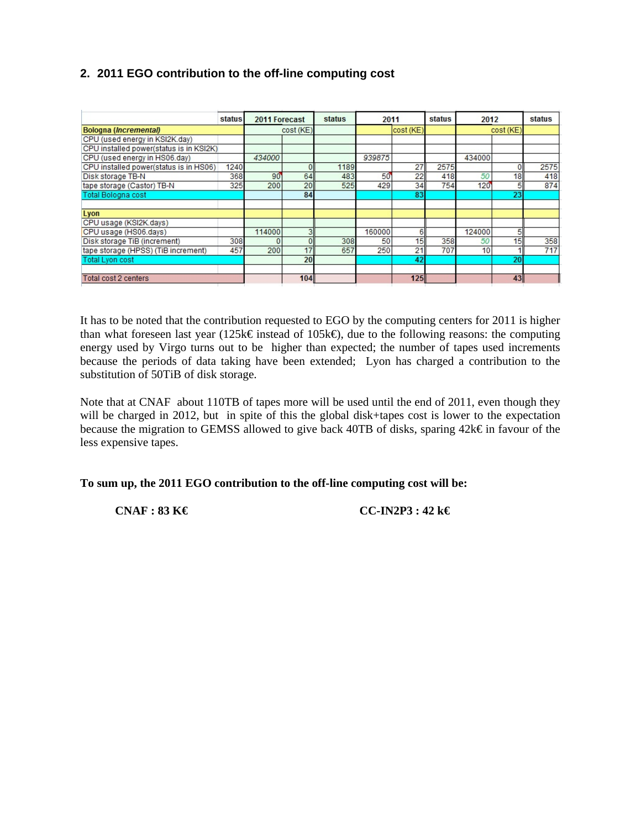## **2. 2011 EGO contribution to the off-line computing cost**

|                                         | status | 2011 Forecast |           | <b>status</b> | 2011   |           | status | 2012   |           | <b>status</b> |
|-----------------------------------------|--------|---------------|-----------|---------------|--------|-----------|--------|--------|-----------|---------------|
| <b>Bologna (Incremental)</b>            |        |               | cost (KE) |               |        | cost (KE) |        |        | cost (KE) |               |
| CPU (used energy in KSI2K.dav)          |        |               |           |               |        |           |        |        |           |               |
| CPU installed power(status is in KSI2K) |        |               |           |               |        |           |        |        |           |               |
| CPU (used energy in HS06.day)           |        | 434000        |           |               | 939875 |           |        | 434000 |           |               |
| CPU installed power(status is in HS06)  | 1240   |               |           | 1189          |        | 27        | 2575   |        | 0         | 2575          |
| Disk storage TB-N                       | 368    | $90^{\circ}$  | 64        | 483           | 50     | 22        | 418    | 50     | 18        | 418           |
| tape storage (Castor) TB-N              | 325    | 200           | 20        | 525           | 429    | 34        | 754    | 120    | 5         | 874           |
| <b>Total Bologna cost</b>               |        |               | 84        |               |        | 83        |        |        | 23        |               |
|                                         |        |               |           |               |        |           |        |        |           |               |
| Lyon                                    |        |               |           |               |        |           |        |        |           |               |
| CPU usage (KSI2K.days)                  |        |               |           |               |        |           |        |        |           |               |
| CPU usage (HS06.days)                   |        | 114000        | 3         |               | 160000 | 6         |        | 124000 | 5         |               |
| Disk storage TiB (increment)            | 308    |               | $\Omega$  | 308           | 50     | 15        | 358    | 50     | 15        | 358           |
| tape storage (HPSS) (TiB increment)     | 457    | 200           | 17        | 657           | 250    | 21        | 707    | 10     |           | 717           |
| <b>Total Lyon cost</b>                  |        |               | 20        |               |        | 42        |        |        | 20        |               |
|                                         |        |               |           |               |        |           |        |        |           |               |
| Total cost 2 centers                    |        |               | 104       |               |        | 125       |        |        | 43        |               |

It has to be noted that the contribution requested to EGO by the computing centers for 2011 is higher than what foreseen last year (125k€ instead of 105k€), due to the following reasons: the computing energy used by Virgo turns out to be higher than expected; the number of tapes used increments because the periods of data taking have been extended; Lyon has charged a contribution to the substitution of 50TiB of disk storage.

Note that at CNAF about 110TB of tapes more will be used until the end of 2011, even though they will be charged in 2012, but in spite of this the global disk+tapes cost is lower to the expectation because the migration to GEMSS allowed to give back 40TB of disks, sparing 42k€ in favour of the less expensive tapes.

**To sum up, the 2011 EGO contribution to the off-line computing cost will be:** 

 **CNAF : 83 K€ CC-IN2P3 : 42 k€**